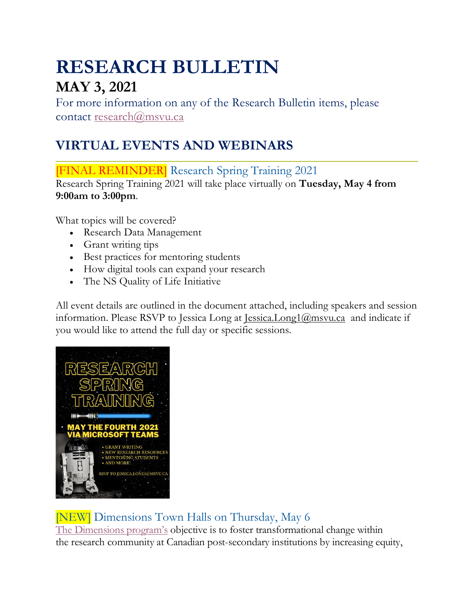# **RESEARCH BULLETIN MAY 3, 2021**

For more information on any of the Research Bulletin items, please contact [research@msvu.ca](mailto:research@msvu.ca)

## **VIRTUAL EVENTS AND WEBINARS**

[FINAL REMINDER] Research Spring Training 2021

Research Spring Training 2021 will take place virtually on **Tuesday, May 4 from 9:00am to 3:00pm**.

What topics will be covered?

- Research Data Management
- Grant writing tips
- Best practices for mentoring students
- How digital tools can expand your research
- The NS Quality of Life Initiative

All event details are outlined in the document attached, including speakers and session information. Please RSVP to Jessica Long at Jessica.Long $1\omega$ msvu.ca and indicate if you would like to attend the full day or specific sessions.



[NEW] Dimensions Town Halls on Thursday, May 6 [The Dimensions program's](https://www.nserc-crsng.gc.ca/NSERC-CRSNG/EDI-EDI/Dimensions_Dimensions_eng.asp) objective is to foster transformational change within the research community at Canadian post-secondary institutions by increasing equity,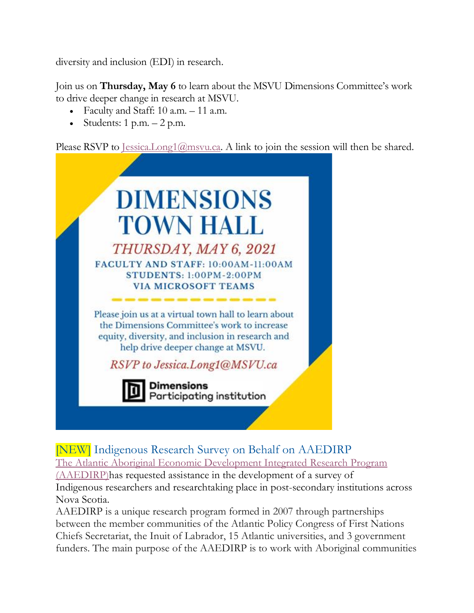diversity and inclusion (EDI) in research.

Join us on **Thursday, May 6** to learn about the MSVU Dimensions Committee's work to drive deeper change in research at MSVU.

- Faculty and Staff: 10 a.m. 11 a.m.
- Students:  $1 p.m. 2 p.m.$

Please RSVP to <u>Jessica.Long1@msvu.ca</u>. A link to join the session will then be shared.



[NEW] Indigenous Research Survey on Behalf on AAEDIRP The [Atlantic Aboriginal Economic Development Integrated](https://www.apcfnc.ca/economic/about/) Research Program [\(AAEDIRP\)h](https://www.apcfnc.ca/economic/about/)as requested assistance in the development of a survey of Indigenous researchers and researchtaking place in post-secondary institutions across Nova Scotia.

AAEDIRP is a unique research program formed in 2007 through partnerships between the member communities of the Atlantic Policy Congress of First Nations Chiefs Secretariat, the Inuit of Labrador, 15 Atlantic universities, and 3 government funders. The main purpose of the AAEDIRP is to work with Aboriginal communities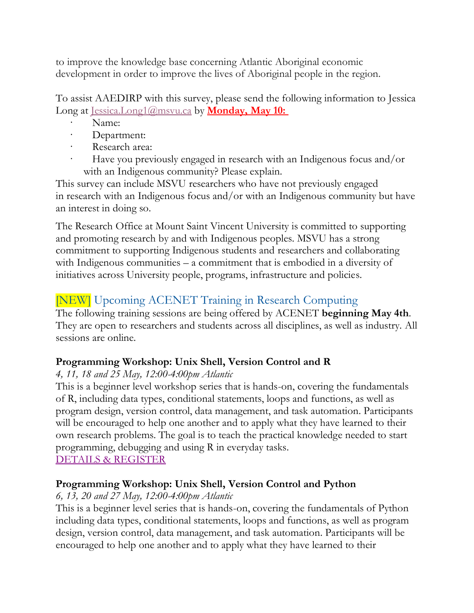to improve the knowledge base concerning Atlantic Aboriginal economic development in order to improve the lives of Aboriginal people in the region.

To assist AAEDIRP with this survey, please send the following information to Jessica Long at [Jessica.Long1@msvu.ca](mailto:Jessica.Long1@msvu.ca) by **Monday, May 10:**

- Name:
- Department:
- Research area:
- Have you previously engaged in research with an Indigenous focus and/or with an Indigenous community? Please explain.

This survey can include MSVU researchers who have not previously engaged in research with an Indigenous focus and/or with an Indigenous community but have an interest in doing so.

The Research Office at Mount Saint Vincent University is committed to supporting and promoting research by and with Indigenous peoples. MSVU has a strong commitment to supporting Indigenous students and researchers and collaborating with Indigenous communities – a commitment that is embodied in a diversity of initiatives across University people, programs, infrastructure and policies.

## [NEW] Upcoming ACENET Training in Research Computing

The following training sessions are being offered by ACENET **beginning May 4th**. They are open to researchers and students across all disciplines, as well as industry. All sessions are online.

#### **Programming Workshop: Unix Shell, Version Control and R**

#### *4, 11, 18 and 25 May, 12:00-4:00pm Atlantic*

This is a beginner level workshop series that is hands-on, covering the fundamentals of R, including data types, conditional statements, loops and functions, as well as program design, version control, data management, and task automation. Participants will be encouraged to help one another and to apply what they have learned to their own research problems. The goal is to teach the practical knowledge needed to start programming, debugging and using R in everyday tasks. [DETAILS & REGISTER](https://www.eventbrite.ca/e/acenet-programming-workshop-unix-shell-version-control-and-r-tickets-134004893243)

### **Programming Workshop: Unix Shell, Version Control and Python**

### *6, 13, 20 and 27 May, 12:00-4:00pm Atlantic*

This is a beginner level series that is hands-on, covering the fundamentals of Python including data types, conditional statements, loops and functions, as well as program design, version control, data management, and task automation. Participants will be encouraged to help one another and to apply what they have learned to their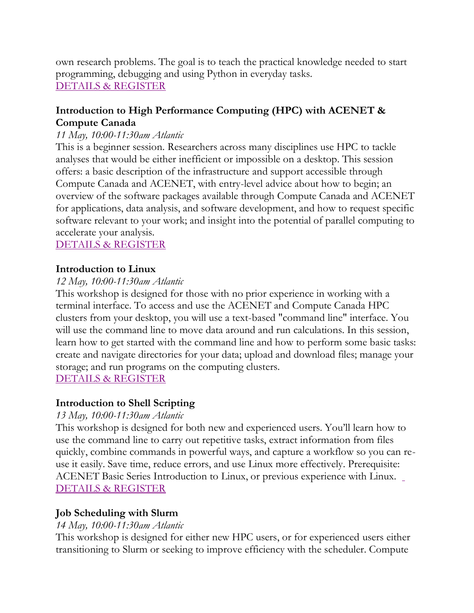own research problems. The goal is to teach the practical knowledge needed to start programming, debugging and using Python in everyday tasks. [DETAILS & REGISTER](https://www.eventbrite.ca/e/acenet-programming-workshop-unix-shell-version-control-and-python-tickets-135705937111)

#### **Introduction to High Performance Computing (HPC) with ACENET & Compute Canada**

#### *11 May, 10:00-11:30am Atlantic*

This is a beginner session. Researchers across many disciplines use HPC to tackle analyses that would be either inefficient or impossible on a desktop. This session offers: a basic description of the infrastructure and support accessible through Compute Canada and ACENET, with entry-level advice about how to begin; an overview of the software packages available through Compute Canada and ACENET for applications, data analysis, and software development, and how to request specific software relevant to your work; and insight into the potential of parallel computing to accelerate your analysis.

#### [DETAILS & REGISTER](https://www.eventbrite.ca/e/acenet-basics-introduction-to-hpc-with-acenet-and-compute-canada-tickets-151714489121)

#### **Introduction to Linux**

#### *12 May, 10:00-11:30am Atlantic*

This workshop is designed for those with no prior experience in working with a terminal interface. To access and use the ACENET and Compute Canada HPC clusters from your desktop, you will use a text-based "command line" interface. You will use the command line to move data around and run calculations. In this session, learn how to get started with the command line and how to perform some basic tasks: create and navigate directories for your data; upload and download files; manage your storage; and run programs on the computing clusters.

[DETAILS & REGISTER](https://www.eventbrite.ca/e/acenet-basics-introduction-to-linux-tickets-151715345683)

#### **Introduction to Shell Scripting**

#### *13 May, 10:00-11:30am Atlantic*

This workshop is designed for both new and experienced users. You'll learn how to use the command line to carry out repetitive tasks, extract information from files quickly, combine commands in powerful ways, and capture a workflow so you can reuse it easily. Save time, reduce errors, and use Linux more effectively. Prerequisite: ACENET Basic Series Introduction to Linux, or previous experience with Linux. [DETAILS & REGISTER](https://www.eventbrite.ca/e/acenet-basics-introduction-to-shell-scripting-tickets-151715562331)

#### **Job Scheduling with Slurm**

#### *14 May, 10:00-11:30am Atlantic*

This workshop is designed for either new HPC users, or for experienced users either transitioning to Slurm or seeking to improve efficiency with the scheduler. Compute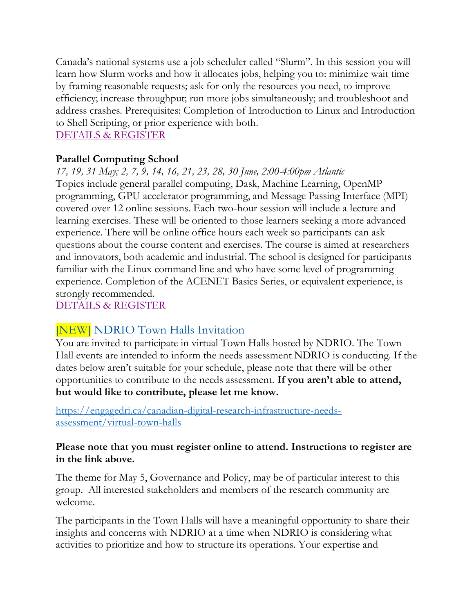Canada's national systems use a job scheduler called "Slurm". In this session you will learn how Slurm works and how it allocates jobs, helping you to: minimize wait time by framing reasonable requests; ask for only the resources you need, to improve efficiency; increase throughput; run more jobs simultaneously; and troubleshoot and address crashes. Prerequisites: Completion of Introduction to Linux and Introduction to Shell Scripting, or prior experience with both.

### [DETAILS & REGISTER](https://www.eventbrite.ca/e/acenet-basics-job-scheduling-with-slurm-tickets-151715935447)

#### **Parallel Computing School**

*17, 19, 31 May; 2, 7, 9, 14, 16, 21, 23, 28, 30 June, 2:00-4:00pm Atlantic* Topics include general parallel computing, Dask, Machine Learning, OpenMP programming, GPU accelerator programming, and Message Passing Interface (MPI) covered over 12 online sessions. Each two-hour session will include a lecture and learning exercises. These will be oriented to those learners seeking a more advanced experience. There will be online office hours each week so participants can ask questions about the course content and exercises. The course is aimed at researchers and innovators, both academic and industrial. The school is designed for participants familiar with the Linux command line and who have some level of programming experience. Completion of the ACENET Basics Series, or equivalent experience, is strongly recommended.

[DETAILS & REGISTER](https://www.eventbrite.ca/e/acenet-parallel-computing-school-2021-tickets-148808988691)

## [NEW] NDRIO Town Halls Invitation

You are invited to participate in virtual Town Halls hosted by NDRIO. The Town Hall events are intended to inform the needs assessment NDRIO is conducting. If the dates below aren't suitable for your schedule, please note that there will be other opportunities to contribute to the needs assessment. **If you aren't able to attend, but would like to contribute, please let me know.**

[https://engagedri.ca/canadian-digital-research-infrastructure-needs](https://engagedri.ca/canadian-digital-research-infrastructure-needs-assessment/virtual-town-halls)[assessment/virtual-town-halls](https://engagedri.ca/canadian-digital-research-infrastructure-needs-assessment/virtual-town-halls)

#### **Please note that you must register online to attend. Instructions to register are in the link above.**

The theme for May 5, Governance and Policy, may be of particular interest to this group. All interested stakeholders and members of the research community are welcome.

The participants in the Town Halls will have a meaningful opportunity to share their insights and concerns with NDRIO at a time when NDRIO is considering what activities to prioritize and how to structure its operations. Your expertise and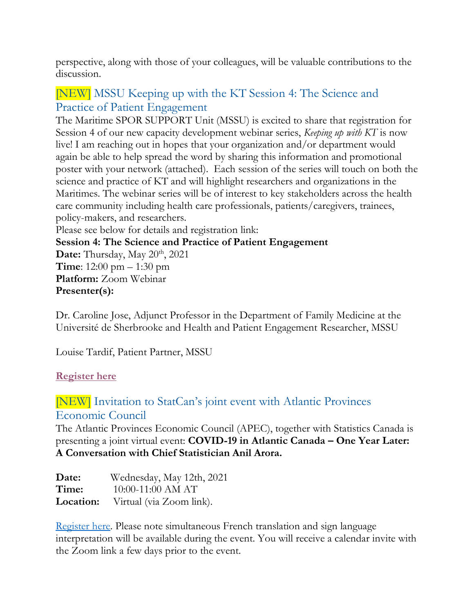perspective, along with those of your colleagues, will be valuable contributions to the discussion.

## [NEW] MSSU Keeping up with the KT Session 4: The Science and Practice of Patient Engagement

The Maritime SPOR SUPPORT Unit (MSSU) is excited to share that registration for Session 4 of our new capacity development webinar series, *Keeping up with KT* is now live! I am reaching out in hopes that your organization and/or department would again be able to help spread the word by sharing this information and promotional poster with your network (attached). Each session of the series will touch on both the science and practice of KT and will highlight researchers and organizations in the Maritimes. The webinar series will be of interest to key stakeholders across the health care community including health care professionals, patients/caregivers, trainees, policy-makers, and researchers.

Please see below for details and registration link:

**Session 4: The Science and Practice of Patient Engagement**

Date: Thursday, May 20<sup>th</sup>, 2021 **Time**: 12:00 pm – 1:30 pm **Platform:** Zoom Webinar **Presenter(s):**

Dr. Caroline Jose, Adjunct Professor in the Department of Family Medicine at the Université de Sherbrooke and Health and Patient Engagement Researcher, MSSU

Louise Tardif, Patient Partner, MSSU

#### **[Register here](http://events.r20.constantcontact.com/register/event?oeidk=a07ehum6g1od6ae67c9&llr=ryzppguab)**

## [NEW] Invitation to StatCan's joint event with Atlantic Provinces Economic Council

The Atlantic Provinces Economic Council (APEC), together with Statistics Canada is presenting a joint virtual event: **COVID-19 in Atlantic Canada – One Year Later: A Conversation with Chief Statistician Anil Arora.** 

| Date:     | Wednesday, May 12th, 2021 |
|-----------|---------------------------|
| Time:     | 10:00-11:00 AM AT         |
| Location: | Virtual (via Zoom link).  |

[Register here.](https://www.statcan.gc.ca/eng/webinar/apec2021) Please note simultaneous French translation and sign language interpretation will be available during the event. You will receive a calendar invite with the Zoom link a few days prior to the event.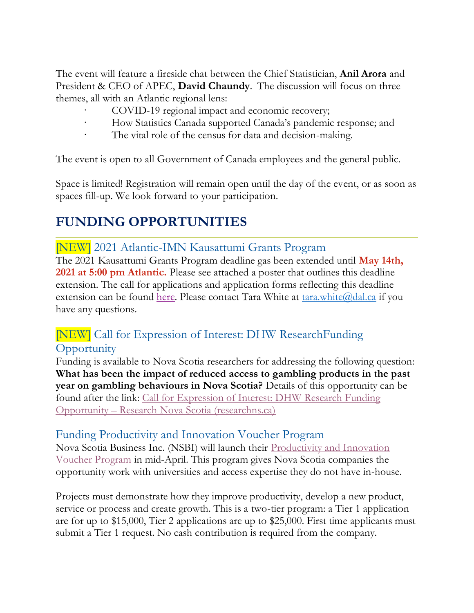The event will feature a fireside chat between the Chief Statistician, **Anil Arora** and President & CEO of APEC, **David Chaundy**. The discussion will focus on three themes, all with an Atlantic regional lens:

- COVID-19 regional impact and economic recovery;
- How Statistics Canada supported Canada's pandemic response; and
- The vital role of the census for data and decision-making.

The event is open to all Government of Canada employees and the general public.

Space is limited! Registration will remain open until the day of the event, or as soon as spaces fill-up. We look forward to your participation.

## **FUNDING OPPORTUNITIES**

#### [NEW] 2021 Atlantic-IMN Kausattumi Grants Program

The 2021 Kausattumi Grants Program deadline gas been extended until **May 14th, 2021 at 5:00 pm Atlantic.** Please see attached a poster that outlines this deadline extension. The call for applications and application forms reflecting this deadline extension can be found [here.](https://www.atlantic-imn.ca/) Please contact Tara White at  $\frac{\tan x}{\text{white}}$  (and  $\frac{\tan x}{\tan x}$  if you have any questions.

## [NEW] Call for Expression of Interest: DHW ResearchFunding **Opportunity**

Funding is available to Nova Scotia researchers for addressing the following question: **What has been the impact of reduced access to gambling products in the past year on gambling behaviours in Nova Scotia?** Details of this opportunity can be found after the link: [Call for Expression of Interest: DHW](https://researchns.ca/dhw-research-funding-opportunity/) Research Funding Opportunity – Research [Nova Scotia \(researchns.ca\)](https://researchns.ca/dhw-research-funding-opportunity/)

#### Funding Productivity and Innovation Voucher Program

Nova Scotia Business Inc. (NSBI) will launch their [Productivity and Innovation](https://www.novascotiabusiness.com/export/programs-services/productivity-and-innovation-voucher-program)  [Voucher Program](https://www.novascotiabusiness.com/export/programs-services/productivity-and-innovation-voucher-program) in mid-April. This program gives Nova Scotia companies the opportunity work with universities and access expertise they do not have in-house.

Projects must demonstrate how they improve productivity, develop a new product, service or process and create growth. This is a two-tier program: a Tier 1 application are for up to \$15,000, Tier 2 applications are up to \$25,000. First time applicants must submit a Tier 1 request. No cash contribution is required from the company.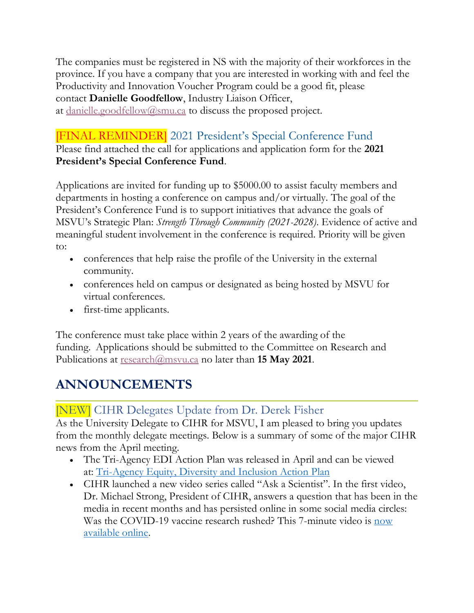The companies must be registered in NS with the majority of their workforces in the province. If you have a company that you are interested in working with and feel the Productivity and Innovation Voucher Program could be a good fit, please contact **Danielle Goodfellow**, Industry Liaison Officer, at [danielle.goodfellow@smu.ca](mailto:danielle.goodfellow@smu.ca) to discuss the proposed project.

## [FINAL REMINDER] 2021 President's Special Conference Fund

Please find attached the call for applications and application form for the **2021 President's Special Conference Fund**.

Applications are invited for funding up to \$5000.00 to assist faculty members and departments in hosting a conference on campus and/or virtually. The goal of the President's Conference Fund is to support initiatives that advance the goals of MSVU's Strategic Plan: *Strength Through Community (2021-2028)*. Evidence of active and meaningful student involvement in the conference is required. Priority will be given to:

- conferences that help raise the profile of the University in the external community.
- conferences held on campus or designated as being hosted by MSVU for virtual conferences.
- first-time applicants.

The conference must take place within 2 years of the awarding of the funding. Applications should be submitted to the Committee on Research and Publications at <u>[research@msvu.ca](mailto:research@msvu.ca)</u> no later than **15 May 2021**.

## **ANNOUNCEMENTS**

## [NEW] CIHR Delegates Update from Dr. Derek Fisher

As the University Delegate to CIHR for MSVU, I am pleased to bring you updates from the monthly delegate meetings. Below is a summary of some of the major CIHR news from the April meeting.

- The Tri-Agency EDI Action Plan was released in April and can be viewed at: [Tri-Agency Equity, Diversity and Inclusion Action Plan](https://www.nserc-crsng.gc.ca/NSERC-CRSNG/EDI-EDI/Action-Plan_Plan-dAction_eng.asp)
- CIHR launched a new video series called "Ask a Scientist". In the first video, Dr. Michael Strong, President of CIHR, answers a question that has been in the media in recent months and has persisted online in some social media circles: Was the COVID-19 vaccine research rushed? This 7-minute video is [now](https://www.youtube.com/watch?v=yMphGEEX_F4)  [available online.](https://www.youtube.com/watch?v=yMphGEEX_F4)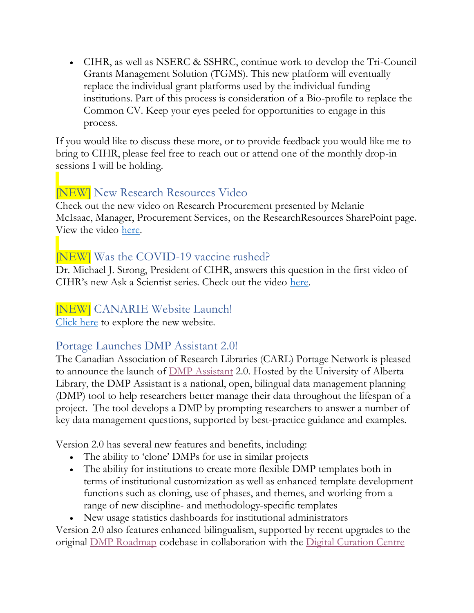• CIHR, as well as NSERC & SSHRC, continue work to develop the Tri-Council Grants Management Solution (TGMS). This new platform will eventually replace the individual grant platforms used by the individual funding institutions. Part of this process is consideration of a Bio-profile to replace the Common CV. Keep your eyes peeled for opportunities to engage in this process.

If you would like to discuss these more, or to provide feedback you would like me to bring to CIHR, please feel free to reach out or attend one of the monthly drop-in sessions I will be holding.

### [NEW] New Research Resources Video

Check out the new video on Research Procurement presented by Melanie McIsaac, Manager, Procurement Services, on the ResearchResources SharePoint page. View the video [here.](https://msvuhfx.sharepoint.com/:v:/r/sites/myMount/MSVUResearchResources/Documents/Financial%20Resources/Procurement%20(Resource%20Video).mp4?csf=1&web=1&e=q3tOTC)

## [NEW] Was the COVID-19 vaccine rushed?

Dr. Michael J. Strong, President of CIHR, answers this question in the first video of CIHR's new Ask a Scientist series. Check out the video [here.](https://www.youtube.com/watch?v=yMphGEEX_F4&feature=youtu.be)

### [NEW] CANARIE Website Launch!

[Click here](https://www.canarie.ca/) to explore the new website.

#### Portage Launches DMP Assistant 2.0!

The Canadian Association of Research Libraries (CARL) Portage Network is pleased to announce the launch of **DMP** Assistant 2.0. Hosted by the University of Alberta Library, the DMP Assistant is a national, open, bilingual data management planning (DMP) tool to help researchers better manage their data throughout the lifespan of a project. The tool develops a DMP by prompting researchers to answer a number of key data management questions, supported by best-practice guidance and examples.

Version 2.0 has several new features and benefits, including:

- The ability to 'clone' DMPs for use in similar projects
- The ability for institutions to create more flexible DMP templates both in terms of institutional customization as well as enhanced template development functions such as cloning, use of phases, and themes, and working from a range of new discipline- and methodology-specific templates
- New usage statistics dashboards for institutional administrators

Version 2.0 also features enhanced bilingualism, supported by recent upgrades to the original [DMP Roadmap](https://github.com/DMPRoadmap) codebase in collaboration with the [Digital Curation Centre](https://www.dcc.ac.uk/)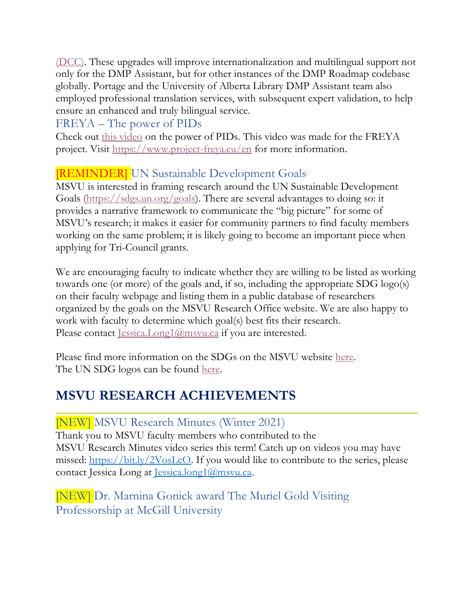[\(DCC\).](https://www.dcc.ac.uk/) These upgrades will improve internationalization and multilingual support not only for the DMP Assistant, but for other instances of the DMP Roadmap codebase globally. Portage and the University of Alberta Library DMP Assistant team also employed professional translation services, with subsequent expert validation, to help ensure an enhanced and truly bilingual service.

#### FREYA – The power of PIDs

Check out [this video](https://www.youtube.com/watch?v=9G4EMJCwCw4) on the power of PIDs. This video was made for the FREYA project. Visit [https://www.project-freya.eu/en](https://www.youtube.com/redirect?event=video_description&redir_token=QUFFLUhqa2NTOTNyNUExTFN6b0R4TGZ6UjcxQ1hQeWN3d3xBQ3Jtc0ttR1VhODZtWXFyQ1JzZm9PWFVsTE14elY5VGRzS2lhcGFuN1B4QmN6UlhoTk5YVXFnWlRDMTEtNERFS2o0dUlQWHZMQ2lLV3p4Si15QUNINGVwQXl3dE1HT1N5MWU3eXNUcmZiOVJCaHN4R0lWc1k4UQ&q=https%3A%2F%2Fwww.project-freya.eu%2Fen) for more information.

## **[REMINDER]** UN Sustainable Development Goals

MSVU is interested in framing research around the UN Sustainable Development Goals [\(https://sdgs.un.org/goals\)](https://sdgs.un.org/goals). There are several advantages to doing so: it provides a narrative framework to communicate the "big picture" for some of MSVU's research; it makes it easier for community partners to find faculty members working on the same problem; it is likely going to become an important piece when applying for Tri-Council grants.

We are encouraging faculty to indicate whether they are willing to be listed as working towards one (or more) of the goals and, if so, including the appropriate SDG logo(s) on their faculty webpage and listing them in a public database of researchers organized by the goals on the MSVU Research Office website. We are also happy to work with faculty to determine which goal(s) best fits their research. Please contact <u>[Jessica.Long1@msvu.ca](mailto:Jessica.Long1@msvu.ca)</u> if you are interested.

Please find more information on the SDGs on the MSVU website [here.](https://www.msvu.ca/research-at-the-mount/about-us/un-sustainable-development-goals/) The UN SDG logos can be found [here.](https://www.un.org/sustainabledevelopment/news/communications-material/)

## **MSVU RESEARCH ACHIEVEMENTS**

### [NEW] MSVU Research Minutes (Winter 2021)

Thank you to MSVU faculty members who contributed to the MSVU Research Minutes video series this term! Catch up on videos you may have missed: [https://bit.ly/2VosLcO.](https://t.co/6FCDxLW2pM?amp=1) If you would like to contribute to the series, please contact Jessica Long at [Jessica.long1@msvu.ca.](mailto:Jessica.long1@msvu.ca)

[NEW] Dr. Marnina Gonick award The Muriel Gold Visiting Professorship at McGill University